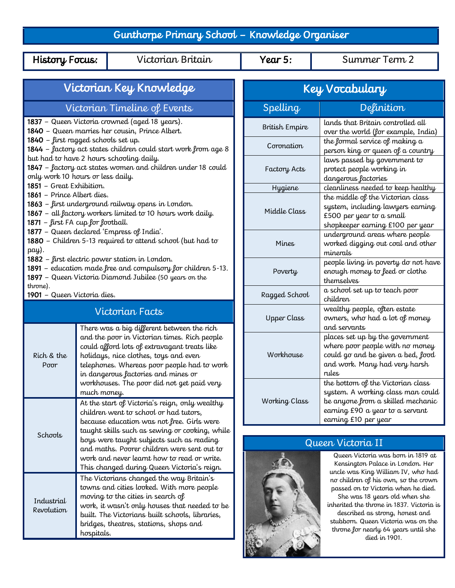## Gunthorpe Primary School – Knowledge Organiser

History Focus: Victorian Britain Vear 5: Summer Term 2

| Victorian Key Knowledge                                                                                                                                                              |                                                                                                                                                                                                                                                                                                                                                                                                                                                                                                                                    |  | Key Vocabulary     |                                                                                                                                                                                                                                                                                              |
|--------------------------------------------------------------------------------------------------------------------------------------------------------------------------------------|------------------------------------------------------------------------------------------------------------------------------------------------------------------------------------------------------------------------------------------------------------------------------------------------------------------------------------------------------------------------------------------------------------------------------------------------------------------------------------------------------------------------------------|--|--------------------|----------------------------------------------------------------------------------------------------------------------------------------------------------------------------------------------------------------------------------------------------------------------------------------------|
| Victorian Timeline of Events                                                                                                                                                         |                                                                                                                                                                                                                                                                                                                                                                                                                                                                                                                                    |  | Spelling           | Definition                                                                                                                                                                                                                                                                                   |
| 1837 - Queen Victoria crowned (aged 18 years).<br>1840 - Queen marries her cousin, Prince Albert.                                                                                    |                                                                                                                                                                                                                                                                                                                                                                                                                                                                                                                                    |  | British Empire     | lands that Britain controlled all<br>over the world (for example, India)                                                                                                                                                                                                                     |
| 1840 - first ragged schools set up.<br>1844 - factory act states children could start work from age 8                                                                                |                                                                                                                                                                                                                                                                                                                                                                                                                                                                                                                                    |  | Coronation         | the formal service of making a<br>person king or queen of a country                                                                                                                                                                                                                          |
| but had to have 2 hours schooling daily.<br>1847 - factory act states women and children under 18 could<br>only work 10 hours or less daily.                                         |                                                                                                                                                                                                                                                                                                                                                                                                                                                                                                                                    |  | Factory Acts       | laws passed by government to<br>protect people working in<br>dangerous factories                                                                                                                                                                                                             |
| 1851 - Great Exhibition.<br>1861 - Prince Albert dies.                                                                                                                               |                                                                                                                                                                                                                                                                                                                                                                                                                                                                                                                                    |  | <b>Hygiene</b>     | cleanliness needed to keep healthy                                                                                                                                                                                                                                                           |
| 1863 - first underground railway opens in London.<br>1867 - all factory workers limited to 10 hours work daily.<br>1871 - first FA cup for football.                                 |                                                                                                                                                                                                                                                                                                                                                                                                                                                                                                                                    |  | Middle Class       | the middle of the Victorian class<br>system, including lawyers earning<br>£500 per year to a small<br>shopkeeper earning £100 per year                                                                                                                                                       |
| 1877 - Queen declared 'Empress of India'.<br>1880 - Children 5-13 required to attend school (but had to<br>pay).                                                                     |                                                                                                                                                                                                                                                                                                                                                                                                                                                                                                                                    |  | Mines              | underground areas where people<br>worked digging out coal and other<br>minerals                                                                                                                                                                                                              |
| 1882 - first electric power station in London.<br>1891 - education made free and compulsory for children 5-13.<br>1897 - Queen Victoria Diamond Jubilee (50 years on the<br>throne). |                                                                                                                                                                                                                                                                                                                                                                                                                                                                                                                                    |  | Poverty            | people living in poverty do not have<br>enough money to feed or clothe<br>themselves                                                                                                                                                                                                         |
| 1901 - Queen Victoria dies.                                                                                                                                                          |                                                                                                                                                                                                                                                                                                                                                                                                                                                                                                                                    |  | Ragged School      | a school set up to teach poor<br>children                                                                                                                                                                                                                                                    |
| Victorian Facts                                                                                                                                                                      |                                                                                                                                                                                                                                                                                                                                                                                                                                                                                                                                    |  | <b>Upper Class</b> | wealthy people, often estate<br>owners, who had a lot of money                                                                                                                                                                                                                               |
| Rich & the<br>Poor                                                                                                                                                                   | There was a big different between the rich<br>and the poor in Victorian times. Rich people<br>could afford lots of extravagant treats like<br>holidays, nice clothes, toys and even<br>telephones. Whereas poor people had to work<br>in dangerous factories and mines or                                                                                                                                                                                                                                                          |  | Workhouse          | and servants<br>places set up by the government<br>where poor people with no money<br>could go and be given a bed, food<br>and work. Many had very harsh<br>rules                                                                                                                            |
|                                                                                                                                                                                      | workhouses. The poor did not get paid very<br>much money.<br>At the start of Victoria's reign, only wealthy<br>children went to school or had tutors,<br>because education was not free. Girls were                                                                                                                                                                                                                                                                                                                                |  | Working Class      | the bottom of the Victorian class<br>system. A working class man could<br>be anyone from a skilled mechanic<br>earning £90 a year to a servant<br>earning £10 per year                                                                                                                       |
| Schools                                                                                                                                                                              | taught skills such as sewing or cooking, while<br>boys were taught subjects such as reading<br>and maths. Poorer children were sent out to<br>work and never learnt how to read or write.<br>This changed during Queen Victoria's reign.<br>The Victorians changed the way Britain's<br>towns and cities looked. With more people<br>moving to the cities in search of<br>work, it wasn't only houses that needed to be<br>built. The Victorians built schools, libraries,<br>bridges, theatres, stations, shops and<br>hospitals. |  |                    |                                                                                                                                                                                                                                                                                              |
|                                                                                                                                                                                      |                                                                                                                                                                                                                                                                                                                                                                                                                                                                                                                                    |  |                    | Queen Victoria II<br>Queen Victoria was born in 1819 at<br>Kensington Palace in London. Her<br>uncle was King William IV, who had                                                                                                                                                            |
| Industrial<br>Revolution                                                                                                                                                             |                                                                                                                                                                                                                                                                                                                                                                                                                                                                                                                                    |  |                    | no children of his own, so the crown<br>passed on to Victoria when he died.<br>She was 18 years old when she<br>inherited the throne in 1837. Victoria is<br>described as strong, honest and<br>stubborn. Queen Victoria was on the<br>throne for nearly 64 years until she<br>died in 1901. |